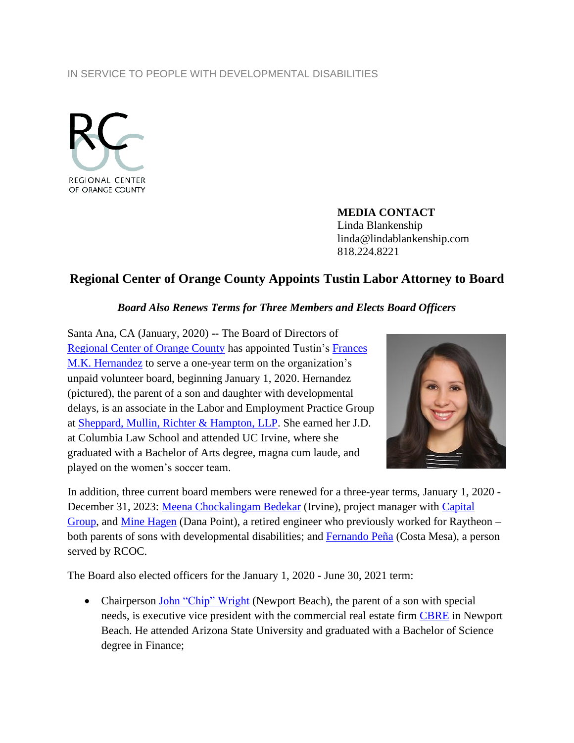## IN SERVICE TO PEOPLE WITH DEVELOPMENTAL DISABILITIES



**MEDIA CONTACT** Linda Blankenship linda@lindablankenship.com 818.224.8221

## **Regional Center of Orange County Appoints Tustin Labor Attorney to Board**

## *Board Also Renews Terms for Three Members and Elects Board Officers*

Santa Ana, CA (January, 2020) **--** The Board of Directors of [Regional Center of Orange County](http://www.rcocdd.com/) has appointed Tustin's [Frances](https://www.linkedin.com/in/frances-hernandez-a969b9122/)  M.K. [Hernandez](https://www.linkedin.com/in/frances-hernandez-a969b9122/) to serve a one-year term on the organization's unpaid volunteer board, beginning January 1, 2020. Hernandez (pictured), the parent of a son and daughter with developmental delays, is an associate in the Labor and Employment Practice Group at Sheppard, Mullin, [Richter & Hampton, LLP.](https://www.sheppardmullin.com/) She earned her J.D. at Columbia Law School and attended UC Irvine, where she graduated with a Bachelor of Arts degree, magna cum laude, and played on the women's soccer team.



In addition, three current board members were renewed for a three-year terms, January 1, 2020 - December 31, 2023: [Meena Chockalingam Bedekar](https://www.linkedin.com/in/meena-chockalingam-306b7113/) (Irvine), project manager with [Capital](https://www.capitalgroup.com/)  [Group,](https://www.capitalgroup.com/) and [Mine Hagen](https://www.linkedin.com/in/mine-hagen-87437119/) (Dana Point), a retired engineer who previously worked for Raytheon – both parents of sons with developmental disabilities; and [Fernando Peña](https://www.facebook.com/fernando.pena.37) (Costa Mesa), a person served by RCOC.

The Board also elected officers for the January 1, 2020 - June 30, 2021 term:

• Chairperson [John "Chip" Wright](https://www.linkedin.com/in/chip-wright-92a65a9/) (Newport Beach), the parent of a son with special needs, is executive vice president with the commercial real estate firm [CBRE](https://www.cbre.us/) in Newport Beach. He attended Arizona State University and graduated with a Bachelor of Science degree in Finance;